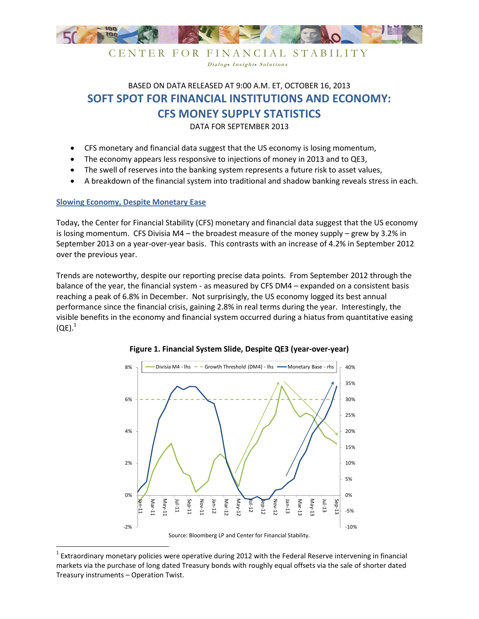

Dialog. Insight. Solutions

BASED ON DATA RELEASED AT 9:00 A.M. ET, OCTOBER 16, 2013 **SOFT SPOT FOR FINANCIAL INSTITUTIONS AND ECONOMY:** 

**CFS MONEY SUPPLY STATISTICS** 

DATA FOR SEPTEMBER 2013

- CFS monetary and financial data suggest that the US economy is losing momentum,
- The economy appears less responsive to injections of money in 2013 and to QE3,
- The swell of reserves into the banking system represents a future risk to asset values,
- A breakdown of the financial system into traditional and shadow banking reveals stress in each.

## **Slowing Economy, Despite Monetary Ease**

<u>.</u>

Today, the Center for Financial Stability (CFS) monetary and financial data suggest that the US economy is losing momentum. CFS Divisia M4 – the broadest measure of the money supply – grew by 3.2% in September 2013 on a year-over-year basis. This contrasts with an increase of 4.2% in September 2012 over the previous year.

Trends are noteworthy, despite our reporting precise data points. From September 2012 through the balance of the year, the financial system - as measured by CFS DM4 – expanded on a consistent basis reaching a peak of 6.8% in December. Not surprisingly, the US economy logged its best annual performance since the financial crisis, gaining 2.8% in real terms during the year. Interestingly, the visible benefits in the economy and financial system occurred during a hiatus from quantitative easing  $(QE).$ <sup>1</sup>





<sup>&</sup>lt;sup>1</sup> Extraordinary monetary policies were operative during 2012 with the Federal Reserve intervening in financial markets via the purchase of long dated Treasury bonds with roughly equal offsets via the sale of shorter dated Treasury instruments – Operation Twist.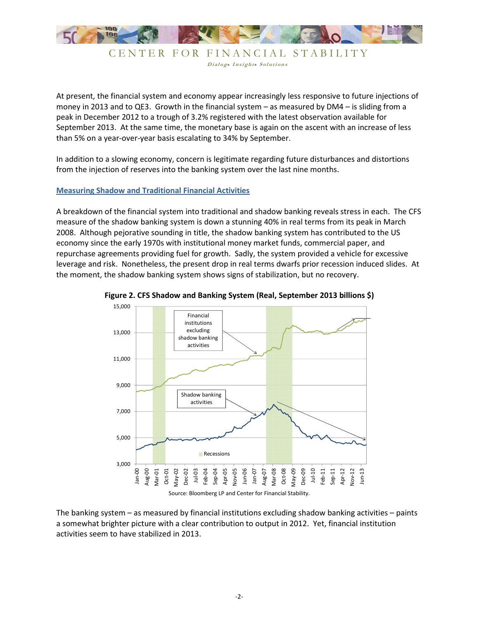

CENTER FOR FINANCIAL STABILITY Dialog. Insight. Solutions

At present, the financial system and economy appear increasingly less responsive to future injections of money in 2013 and to QE3. Growth in the financial system – as measured by DM4 – is sliding from a peak in December 2012 to a trough of 3.2% registered with the latest observation available for September 2013. At the same time, the monetary base is again on the ascent with an increase of less than 5% on a year-over-year basis escalating to 34% by September.

In addition to a slowing economy, concern is legitimate regarding future disturbances and distortions from the injection of reserves into the banking system over the last nine months.

## **Measuring Shadow and Traditional Financial Activities**

A breakdown of the financial system into traditional and shadow banking reveals stress in each. The CFS measure of the shadow banking system is down a stunning 40% in real terms from its peak in March 2008. Although pejorative sounding in title, the shadow banking system has contributed to the US economy since the early 1970s with institutional money market funds, commercial paper, and repurchase agreements providing fuel for growth. Sadly, the system provided a vehicle for excessive leverage and risk. Nonetheless, the present drop in real terms dwarfs prior recession induced slides. At the moment, the shadow banking system shows signs of stabilization, but no recovery.





The banking system – as measured by financial institutions excluding shadow banking activities – paints a somewhat brighter picture with a clear contribution to output in 2012. Yet, financial institution activities seem to have stabilized in 2013.